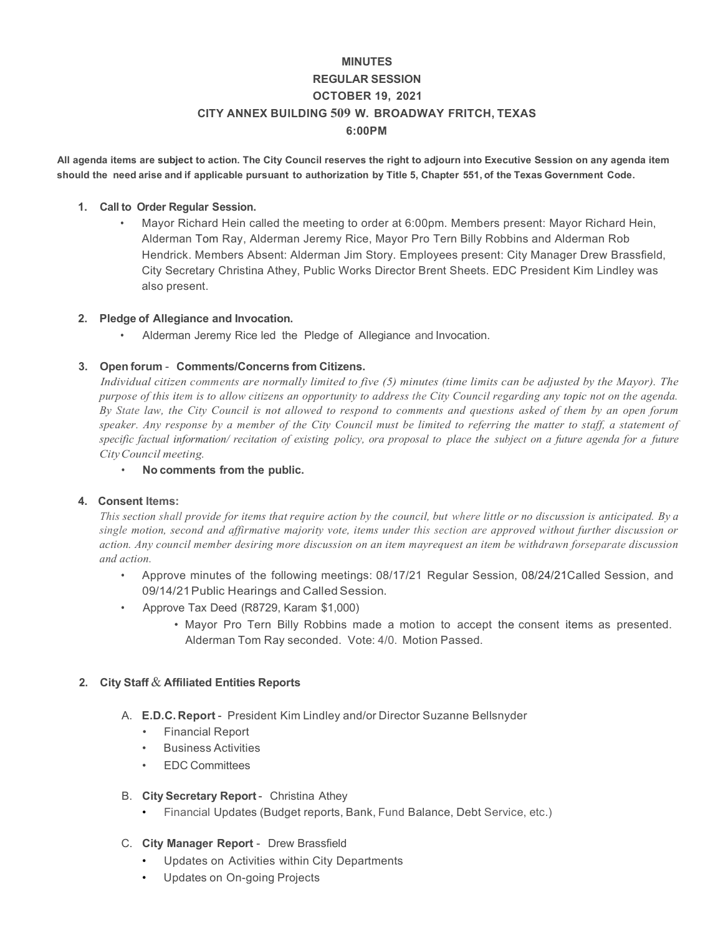# **MINUTES REGULAR SESSION OCTOBER 19, 2021 CITY ANNEX BUILDING 509 W. BROADWAY FRITCH, TEXAS 6:00PM**

**All agenda items are subject to action. The City Council reserves the right to adjourn into Executive Session on any agenda item** should the need arise and if applicable pursuant to authorization by Title 5, Chapter 551, of the Texas Government Code.

### **1. Call to Order Regular Session.**

• Mayor Richard Hein called the meeting to order at 6:00pm. Members present: Mayor Richard Hein, Alderman Tom Ray, Alderman Jeremy Rice, Mayor Pro Tern Billy Robbins and Alderman Rob Hendrick. Members Absent: Alderman Jim Story. Employees present: City Manager Drew Brassfield, City Secretary Christina Athey, Public Works Director Brent Sheets. EDC President Kim Lindley was also present.

#### **2. Pledge of Allegiance and Invocation.**

• Alderman Jeremy Rice led the Pledge of Allegiance and Invocation.

## **3. Open forum** - **Comments/Concerns from Citizens.**

*Individual citizen comments are normally limited to five (5) minutes (time limits can be adjusted by the Mayor). The purpose of this item is to allow citizens an opportunity to address the City Council regarding any topic not on the agenda. By State law, the City Council is not allowed to respond to comments and questions asked of them by an open forum speaker. Any response by a member of the City Council must be limited to referring the matter to staff, a statement of specific factual information/ recitation of existing policy, ora proposal to place the subject on a future agenda for a future CityCouncil meeting.*

#### • **No comments from the public.**

#### **4. Consent Items:**

This section shall provide for items that require action by the council, but where little or no discussion is anticipated. By a *single motion, second and affirmative majority vote, items under this section are approved without further discussion or action. Any council member desiring more discussion on an item mayrequest an item be withdrawn forseparate discussion and action.*

- Approve minutes of the following meetings: 08/17/21 Regular Session, 08/24/21Called Session, and 09/14/21 Public Hearings and Called Session.
- Approve Tax Deed (R8729, Karam \$1,000)
	- Mayor Pro Tern Billy Robbins made a motion to accept the consent items as presented. Alderman Tom Ray seconded. Vote: 4/0. Motion Passed.

#### **2. City Staff** & **Affiliated Entities Reports**

- A. **E.D.C. Report** President Kim Lindley and/or Director Suzanne Bellsnyder
	- Financial Report
	- Business Activities
	- EDC Committees

## B. **City Secretary Report** - Christina Athey

- Financial Updates (Budget reports, Bank, Fund Balance, Debt Service, etc.)
- C. **City Manager Report** Drew Brassfield
	- Updates on Activities within City Departments
	- Updates on On-going Projects